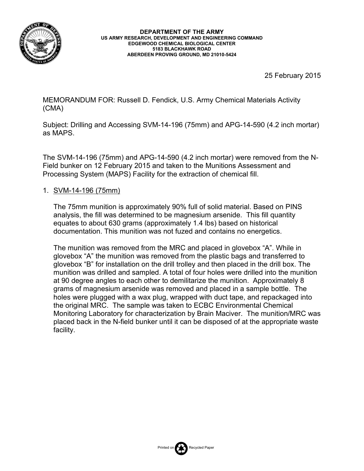

**DEPARTMENT OF THE ARMY US ARMY RESEARCH, DEVELOPMENT AND ENGINEERING COMMAND EDGEWOOD CHEMICAL BIOLOGICAL CENTER 5183 BLACKHAWK ROAD ABERDEEN PROVING GROUND, MD 21010-5424**

25 February 2015

MEMORANDUM FOR: Russell D. Fendick, U.S. Army Chemical Materials Activity (CMA)

Subject: Drilling and Accessing SVM-14-196 (75mm) and APG-14-590 (4.2 inch mortar) as MAPS.

The SVM-14-196 (75mm) and APG-14-590 (4.2 inch mortar) were removed from the N-Field bunker on 12 February 2015 and taken to the Munitions Assessment and Processing System (MAPS) Facility for the extraction of chemical fill.

## 1. SVM-14-196 (75mm)

The 75mm munition is approximately 90% full of solid material. Based on PINS analysis, the fill was determined to be magnesium arsenide. This fill quantity equates to about 630 grams (approximately 1.4 lbs) based on historical documentation. This munition was not fuzed and contains no energetics.

The munition was removed from the MRC and placed in glovebox "A". While in glovebox "A" the munition was removed from the plastic bags and transferred to glovebox "B" for installation on the drill trolley and then placed in the drill box. The munition was drilled and sampled. A total of four holes were drilled into the munition at 90 degree angles to each other to demilitarize the munition. Approximately 8 grams of magnesium arsenide was removed and placed in a sample bottle. The holes were plugged with a wax plug, wrapped with duct tape, and repackaged into the original MRC. The sample was taken to ECBC Environmental Chemical Monitoring Laboratory for characterization by Brain Maciver. The munition/MRC was placed back in the N-field bunker until it can be disposed of at the appropriate waste facility.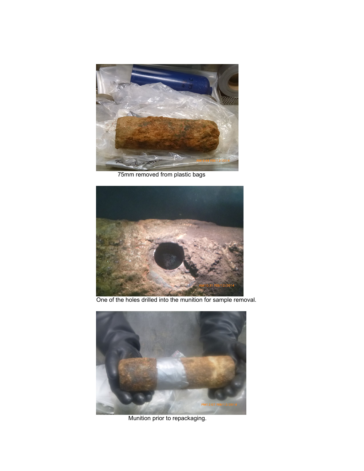

75mm removed from plastic bags



One of the holes drilled into the munition for sample removal.



Munition prior to repackaging.